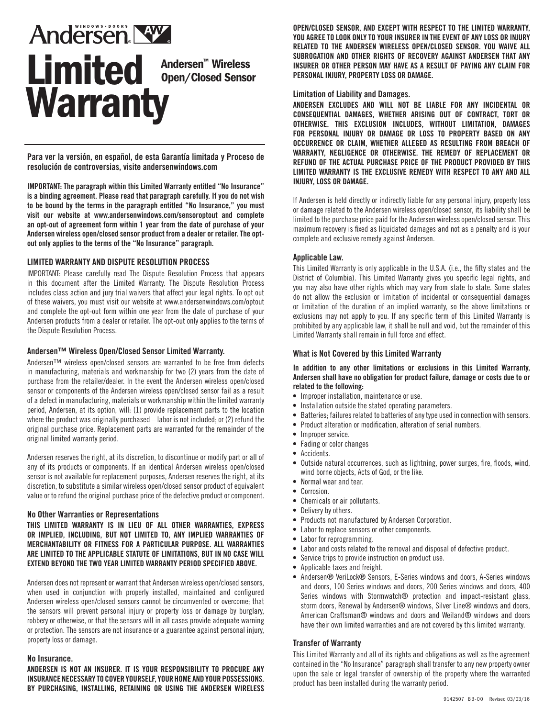# **Andersen NW** Limited Andersen™ Wireless Open/Closed Sensor **Warranty**

**Para ver la versión, en español, de esta Garantía limitada y Proceso de resolución de controversias, visite andersenwindows.com**

**IMPORTANT: The paragraph within this Limited Warranty entitled "No Insurance" is a binding agreement. Please read that paragraph carefully. If you do not wish to be bound by the terms in the paragraph entitled "No Insurance," you must visit our website at www.andersenwindows.com/sensoroptout and complete an opt-out of agreement form within 1 year from the date of purchase of your Andersen wireless open/closed sensor product from a dealer or retailer. The optout only applies to the terms of the "No Insurance" paragraph.**

# **LIMITED WARRANTY AND DISPUTE RESOLUTION PROCESS**

IMPORTANT: Please carefully read The Dispute Resolution Process that appears in this document after the Limited Warranty. The Dispute Resolution Process includes class action and jury trial waivers that affect your legal rights. To opt out of these waivers, you must visit our website at www.andersenwindows.com/optout and complete the opt-out form within one year from the date of purchase of your Andersen products from a dealer or retailer. The opt-out only applies to the terms of the Dispute Resolution Process.

#### **Andersen™ Wireless Open/Closed Sensor Limited Warranty.**

Andersen™ wireless open/closed sensors are warranted to be free from defects in manufacturing, materials and workmanship for two (2) years from the date of purchase from the retailer/dealer. In the event the Andersen wireless open/closed sensor or components of the Andersen wireless open/closed sensor fail as a result of a defect in manufacturing, materials or workmanship within the limited warranty period, Andersen, at its option, will: (1) provide replacement parts to the location where the product was originally purchased – labor is not included; or (2) refund the original purchase price. Replacement parts are warranted for the remainder of the original limited warranty period.

Andersen reserves the right, at its discretion, to discontinue or modify part or all of any of its products or components. If an identical Andersen wireless open/closed sensor is not available for replacement purposes, Andersen reserves the right, at its discretion, to substitute a similar wireless open/closed sensor product of equivalent value or to refund the original purchase price of the defective product or component.

#### **No Other Warranties or Representations**

**THIS LIMITED WARRANTY IS IN LIEU OF ALL OTHER WARRANTIES, EXPRESS OR IMPLIED, INCLUDING, BUT NOT LIMITED TO, ANY IMPLIED WARRANTIES OF MERCHANTABILITY OR FITNESS FOR A PARTICULAR PURPOSE. ALL WARRANTIES ARE LIMITED TO THE APPLICABLE STATUTE OF LIMITATIONS, BUT IN NO CASE WILL EXTEND BEYOND THE TWO YEAR LIMITED WARRANTY PERIOD SPECIFIED ABOVE.**

Andersen does not represent or warrant that Andersen wireless open/closed sensors, when used in conjunction with properly installed, maintained and configured Andersen wireless open/closed sensors cannot be circumvented or overcome; that the sensors will prevent personal injury or property loss or damage by burglary, robbery or otherwise, or that the sensors will in all cases provide adequate warning or protection. The sensors are not insurance or a guarantee against personal injury, property loss or damage.

#### **No Insurance.**

**ANDERSEN IS NOT AN INSURER. IT IS YOUR RESPONSIBILITY TO PROCURE ANY INSURANCE NECESSARY TO COVER YOURSELF, YOUR HOME AND YOUR POSSESSIONS. BY PURCHASING, INSTALLING, RETAINING OR USING THE ANDERSEN WIRELESS**  **OPEN/CLOSED SENSOR, AND EXCEPT WITH RESPECT TO THE LIMITED WARRANTY, YOU AGREE TO LOOK ONLY TO YOUR INSURER IN THE EVENT OF ANY LOSS OR INJURY RELATED TO THE ANDERSEN WIRELESS OPEN/CLOSED SENSOR. YOU WAIVE ALL SUBROGATION AND OTHER RIGHTS OF RECOVERY AGAINST ANDERSEN THAT ANY INSURER OR OTHER PERSON MAY HAVE AS A RESULT OF PAYING ANY CLAIM FOR PERSONAL INJURY, PROPERTY LOSS OR DAMAGE.** 

## **Limitation of Liability and Damages.**

**ANDERSEN EXCLUDES AND WILL NOT BE LIABLE FOR ANY INCIDENTAL OR CONSEQUENTIAL DAMAGES, WHETHER ARISING OUT OF CONTRACT, TORT OR OTHERWISE. THIS EXCLUSION INCLUDES, WITHOUT LIMITATION, DAMAGES FOR PERSONAL INJURY OR DAMAGE OR LOSS TO PROPERTY BASED ON ANY OCCURRENCE OR CLAIM, WHETHER ALLEGED AS RESULTING FROM BREACH OF WARRANTY, NEGLIGENCE OR OTHERWISE. THE REMEDY OF REPLACEMENT OR REFUND OF THE ACTUAL PURCHASE PRICE OF THE PRODUCT PROVIDED BY THIS LIMITED WARRANTY IS THE EXCLUSIVE REMEDY WITH RESPECT TO ANY AND ALL INJURY, LOSS OR DAMAGE.** 

If Andersen is held directly or indirectly liable for any personal injury, property loss or damage related to the Andersen wireless open/closed sensor, its liability shall be limited to the purchase price paid for the Andersen wireless open/closed sensor. This maximum recovery is fixed as liquidated damages and not as a penalty and is your complete and exclusive remedy against Andersen.

# **Applicable Law.**

This Limited Warranty is only applicable in the U.S.A. (i.e., the fifty states and the District of Columbia). This Limited Warranty gives you specific legal rights, and you may also have other rights which may vary from state to state. Some states do not allow the exclusion or limitation of incidental or consequential damages or limitation of the duration of an implied warranty, so the above limitations or exclusions may not apply to you. If any specific term of this Limited Warranty is prohibited by any applicable law, it shall be null and void, but the remainder of this Limited Warranty shall remain in full force and effect.

# **What is Not Covered by this Limited Warranty**

#### **In addition to any other limitations or exclusions in this Limited Warranty, Andersen shall have no obligation for product failure, damage or costs due to or related to the following:**

- Improper installation, maintenance or use.
- Installation outside the stated operating parameters.
- Batteries; failures related to batteries of any type used in connection with sensors.
- Product alteration or modification, alteration of serial numbers.
- Improper service.
- Fading or color changes
- Accidents.
- Outside natural occurrences, such as lightning, power surges, fire, floods, wind, wind borne objects, Acts of God, or the like.
- Normal wear and tear.
- Corrosion.
- Chemicals or air pollutants.
- Delivery by others.
- Products not manufactured by Andersen Corporation.
- Labor to replace sensors or other components.
- Labor for reprogramming.
- Labor and costs related to the removal and disposal of defective product.
- Service trips to provide instruction on product use.
- Applicable taxes and freight.
- Andersen® VeriLock® Sensors, E-Series windows and doors, A-Series windows and doors, 100 Series windows and doors, 200 Series windows and doors, 400 Series windows with Stormwatch® protection and impact-resistant glass, storm doors, Renewal by Andersen® windows, Silver Line® windows and doors, American Craftsman® windows and doors and Weiland® windows and doors have their own limited warranties and are not covered by this limited warranty.

#### **Transfer of Warranty**

This Limited Warranty and all of its rights and obligations as well as the agreement contained in the "No Insurance" paragraph shall transfer to any new property owner upon the sale or legal transfer of ownership of the property where the warranted product has been installed during the warranty period.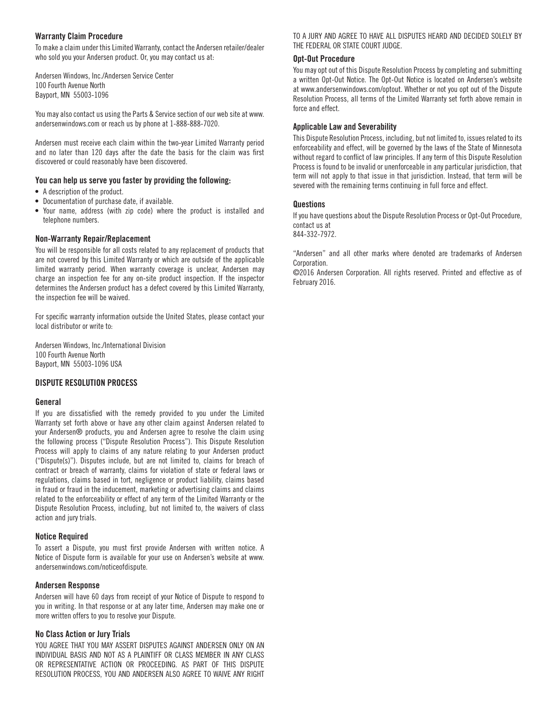#### **Warranty Claim Procedure**

To make a claim under this Limited Warranty, contact the Andersen retailer/dealer who sold you your Andersen product. Or, you may contact us at:

Andersen Windows, Inc./Andersen Service Center 100 Fourth Avenue North Bayport, MN 55003-1096

You may also contact us using the Parts & Service section of our web site at www. andersenwindows.com or reach us by phone at 1-888-888-7020.

Andersen must receive each claim within the two-year Limited Warranty period and no later than 120 days after the date the basis for the claim was first discovered or could reasonably have been discovered.

#### **You can help us serve you faster by providing the following:**

- A description of the product.
- Documentation of purchase date, if available.
- Your name, address (with zip code) where the product is installed and telephone numbers.

#### **Non-Warranty Repair/Replacement**

You will be responsible for all costs related to any replacement of products that are not covered by this Limited Warranty or which are outside of the applicable limited warranty period. When warranty coverage is unclear, Andersen may charge an inspection fee for any on-site product inspection. If the inspector determines the Andersen product has a defect covered by this Limited Warranty, the inspection fee will be waived.

For specific warranty information outside the United States, please contact your local distributor or write to:

Andersen Windows, Inc./International Division 100 Fourth Avenue North Bayport, MN 55003-1096 USA

#### **DISPUTE RESOLUTION PROCESS**

#### **General**

If you are dissatisfied with the remedy provided to you under the Limited Warranty set forth above or have any other claim against Andersen related to your Andersen® products, you and Andersen agree to resolve the claim using the following process ("Dispute Resolution Process"). This Dispute Resolution Process will apply to claims of any nature relating to your Andersen product ("Dispute(s)"). Disputes include, but are not limited to, claims for breach of contract or breach of warranty, claims for violation of state or federal laws or regulations, claims based in tort, negligence or product liability, claims based in fraud or fraud in the inducement, marketing or advertising claims and claims related to the enforceability or effect of any term of the Limited Warranty or the Dispute Resolution Process, including, but not limited to, the waivers of class action and jury trials.

#### **Notice Required**

To assert a Dispute, you must first provide Andersen with written notice. A Notice of Dispute form is available for your use on Andersen's website at www. andersenwindows.com/noticeofdispute.

#### **Andersen Response**

Andersen will have 60 days from receipt of your Notice of Dispute to respond to you in writing. In that response or at any later time, Andersen may make one or more written offers to you to resolve your Dispute.

#### **No Class Action or Jury Trials**

YOU AGREE THAT YOU MAY ASSERT DISPUTES AGAINST ANDERSEN ONLY ON AN INDIVIDUAL BASIS AND NOT AS A PLAINTIFF OR CLASS MEMBER IN ANY CLASS OR REPRESENTATIVE ACTION OR PROCEEDING. AS PART OF THIS DISPUTE RESOLUTION PROCESS, YOU AND ANDERSEN ALSO AGREE TO WAIVE ANY RIGHT TO A JURY AND AGREE TO HAVE ALL DISPUTES HEARD AND DECIDED SOLELY BY THE FEDERAL OR STATE COURT JUDGE.

#### **Opt-Out Procedure**

You may opt out of this Dispute Resolution Process by completing and submitting a written Opt-Out Notice. The Opt-Out Notice is located on Andersen's website at www.andersenwindows.com/optout. Whether or not you opt out of the Dispute Resolution Process, all terms of the Limited Warranty set forth above remain in force and effect.

#### **Applicable Law and Severability**

This Dispute Resolution Process, including, but not limited to, issues related to its enforceability and effect, will be governed by the laws of the State of Minnesota without regard to conflict of law principles. If any term of this Dispute Resolution Process is found to be invalid or unenforceable in any particular jurisdiction, that term will not apply to that issue in that jurisdiction. Instead, that term will be severed with the remaining terms continuing in full force and effect.

#### **Questions**

If you have questions about the Dispute Resolution Process or Opt-Out Procedure, contact us at 844-332-7972.

"Andersen" and all other marks where denoted are trademarks of Andersen Corporation.

©2016 Andersen Corporation. All rights reserved. Printed and effective as of February 2016.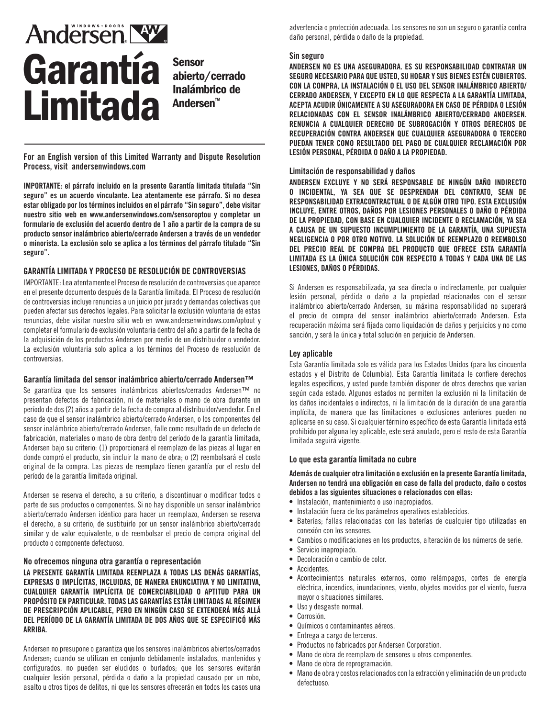# Andersen NW. Garantía Limitada

Sensor abierto/cerrado Inalámbrico de Andersen™

**For an English version of this Limited Warranty and Dispute Resolution Process, visit andersenwindows.com**

**IMPORTANTE: el párrafo incluido en la presente Garantía limitada titulada "Sin seguro" es un acuerdo vinculante. Lea atentamente ese párrafo. Si no desea estar obligado por los términos incluidos en el párrafo "Sin seguro", debe visitar nuestro sitio web en www.andersenwindows.com/sensoroptou y completar un formulario de exclusión del acuerdo dentro de 1 año a partir de la compra de su producto sensor inalámbrico abierto/cerrado Andersen a través de un vendedor o minorista. La exclusión solo se aplica a los términos del párrafo titulado "Sin seguro".**

## **GARANTÍA LIMITADA Y PROCESO DE RESOLUCIÓN DE CONTROVERSIAS**

IMPORTANTE: Lea atentamente el Proceso de resolución de controversias que aparece en el presente documento después de la Garantía limitada. El Proceso de resolución de controversias incluye renuncias a un juicio por jurado y demandas colectivas que pueden afectar sus derechos legales. Para solicitar la exclusión voluntaria de estas renuncias, debe visitar nuestro sitio web en www.andersenwindows.com/optout y completar el formulario de exclusión voluntaria dentro del año a partir de la fecha de la adquisición de los productos Andersen por medio de un distribuidor o vendedor. La exclusión voluntaria solo aplica a los términos del Proceso de resolución de controversias.

#### **Garantía limitada del sensor inalámbrico abierto/cerrado Andersen™**

Se garantiza que los sensores inalámbricos abiertos/cerrados Andersen™ no presentan defectos de fabricación, ni de materiales o mano de obra durante un período de dos (2) años a partir de la fecha de compra al distribuidor/vendedor. En el caso de que el sensor inalámbrico abierto/cerrado Andersen, o los componentes del sensor inalámbrico abierto/cerrado Andersen, falle como resultado de un defecto de fabricación, materiales o mano de obra dentro del período de la garantía limitada, Andersen bajo su criterio: (1) proporcionará el reemplazo de las piezas al lugar en donde compró el producto, sin incluir la mano de obra; o (2) reembolsará el costo original de la compra. Las piezas de reemplazo tienen garantía por el resto del período de la garantía limitada original.

Andersen se reserva el derecho, a su criterio, a discontinuar o modificar todos o parte de sus productos o componentes. Si no hay disponible un sensor inalámbrico abierto/cerrado Andersen idéntico para hacer un reemplazo, Andersen se reserva el derecho, a su criterio, de sustituirlo por un sensor inalámbrico abierto/cerrado similar y de valor equivalente, o de reembolsar el precio de compra original del producto o componente defectuoso.

#### **No ofrecemos ninguna otra garantía o representación**

**LA PRESENTE GARANTÍA LIMITADA REEMPLAZA A TODAS LAS DEMÁS GARANTÍAS, EXPRESAS O IMPLÍCITAS, INCLUIDAS, DE MANERA ENUNCIATIVA Y NO LIMITATIVA, CUALQUIER GARANTÍA IMPLÍCITA DE COMERCIABILIDAD O APTITUD PARA UN PROPÓSITO EN PARTICULAR. TODAS LAS GARANTÍAS ESTÁN LIMITADAS AL RÉGIMEN DE PRESCRIPCIÓN APLICABLE, PERO EN NINGÚN CASO SE EXTENDERÁ MÁS ALLÁ DEL PERÍODO DE LA GARANTÍA LIMITADA DE DOS AÑOS QUE SE ESPECIFICÓ MÁS ARRIBA.**

Andersen no presupone o garantiza que los sensores inalámbricos abiertos/cerrados Andersen; cuando se utilizan en conjunto debidamente instalados, mantenidos y configurados, no pueden ser eludidos o burlados; que los sensores evitarán cualquier lesión personal, pérdida o daño a la propiedad causado por un robo, asalto u otros tipos de delitos, ni que los sensores ofrecerán en todos los casos una

advertencia o protección adecuada. Los sensores no son un seguro o garantía contra daño personal, pérdida o daño de la propiedad.

#### **Sin seguro**

**ANDERSEN NO ES UNA ASEGURADORA. ES SU RESPONSABILIDAD CONTRATAR UN SEGURO NECESARIO PARA QUE USTED, SU HOGAR Y SUS BIENES ESTÉN CUBIERTOS. CON LA COMPRA, LA INSTALACIÓN O EL USO DEL SENSOR INALÁMBRICO ABIERTO/ CERRADO ANDERSEN, Y EXCEPTO EN LO QUE RESPECTA A LA GARANTÍA LIMITADA, ACEPTA ACUDIR ÚNICAMENTE A SU ASEGURADORA EN CASO DE PÉRDIDA O LESIÓN RELACIONADAS CON EL SENSOR INALÁMBRICO ABIERTO/CERRADO ANDERSEN. RENUNCIA A CUALQUIER DERECHO DE SUBROGACIÓN Y OTROS DERECHOS DE RECUPERACIÓN CONTRA ANDERSEN QUE CUALQUIER ASEGURADORA O TERCERO PUEDAN TENER COMO RESULTADO DEL PAGO DE CUALQUIER RECLAMACIÓN POR LESIÓN PERSONAL, PÉRDIDA O DAÑO A LA PROPIEDAD.**

#### **Limitación de responsabilidad y daños**

**ANDERSEN EXCLUYE Y NO SERÁ RESPONSABLE DE NINGÚN DAÑO INDIRECTO O INCIDENTAL, YA SEA QUE SE DESPRENDAN DEL CONTRATO, SEAN DE RESPONSABILIDAD EXTRACONTRACTUAL O DE ALGÚN OTRO TIPO. ESTA EXCLUSIÓN INCLUYE, ENTRE OTROS, DAÑOS POR LESIONES PERSONALES O DAÑO O PÉRDIDA DE LA PROPIEDAD, CON BASE EN CUALQUIER INCIDENTE O RECLAMACIÓN, YA SEA A CAUSA DE UN SUPUESTO INCUMPLIMIENTO DE LA GARANTÍA, UNA SUPUESTA NEGLIGENCIA O POR OTRO MOTIVO. LA SOLUCIÓN DE REEMPLAZO O REEMBOLSO DEL PRECIO REAL DE COMPRA DEL PRODUCTO QUE OFRECE ESTA GARANTÍA LIMITADA ES LA ÚNICA SOLUCIÓN CON RESPECTO A TODAS Y CADA UNA DE LAS LESIONES, DAÑOS O PÉRDIDAS.**

Si Andersen es responsabilizada, ya sea directa o indirectamente, por cualquier lesión personal, pérdida o daño a la propiedad relacionados con el sensor inalámbrico abierto/cerrado Andersen, su máxima responsabilidad no superará el precio de compra del sensor inalámbrico abierto/cerrado Andersen. Esta recuperación máxima será fijada como liquidación de daños y perjuicios y no como sanción, y será la única y total solución en perjuicio de Andersen.

#### **Ley aplicable**

Esta Garantía limitada solo es válida para los Estados Unidos (para los cincuenta estados y el Distrito de Columbia). Esta Garantía limitada le confiere derechos legales específicos, y usted puede también disponer de otros derechos que varían según cada estado. Algunos estados no permiten la exclusión ni la limitación de los daños incidentales o indirectos, ni la limitación de la duración de una garantía implícita, de manera que las limitaciones o exclusiones anteriores pueden no aplicarse en su caso. Si cualquier término específico de esta Garantía limitada está prohibido por alguna ley aplicable, este será anulado, pero el resto de esta Garantía limitada seguirá vigente.

## **Lo que esta garantía limitada no cubre**

**Además de cualquier otra limitación o exclusión en la presente Garantía limitada, Andersen no tendrá una obligación en caso de falla del producto, daño o costos debidos a las siguientes situaciones o relacionados con ellas:**

- Instalación, mantenimiento o uso inapropiados.
- Instalación fuera de los parámetros operativos establecidos.
- Baterías; fallas relacionadas con las baterías de cualquier tipo utilizadas en conexión con los sensores.
- Cambios o modificaciones en los productos, alteración de los números de serie.
- Servicio inapropiado.
- Decoloración o cambio de color.
- Accidentes.
- Acontecimientos naturales externos, como relámpagos, cortes de energía eléctrica, incendios, inundaciones, viento, objetos movidos por el viento, fuerza mayor o situaciones similares.
- Uso y desgaste normal.
- Corrosión.
- Químicos o contaminantes aéreos.
- Entrega a cargo de terceros.
- Productos no fabricados por Andersen Corporation.
- Mano de obra de reemplazo de sensores u otros componentes.
- Mano de obra de reprogramación.
- Mano de obra y costos relacionados con la extracción y eliminación de un producto defectuoso.